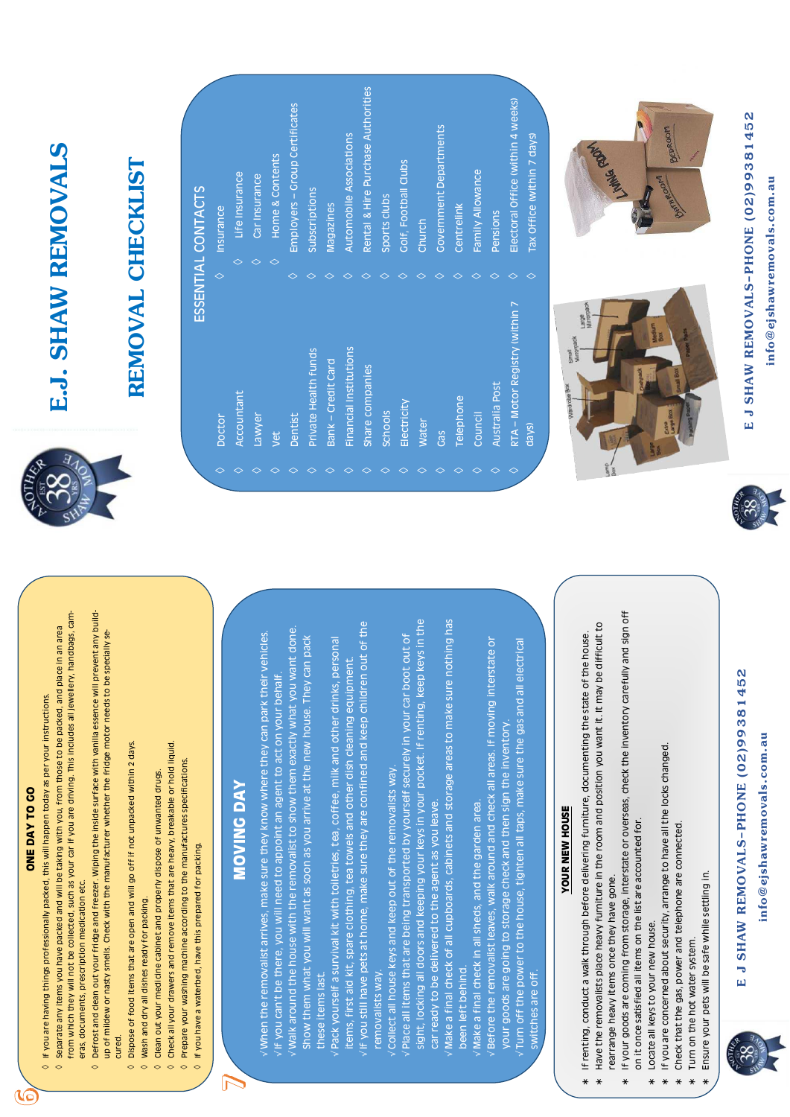### DAY TO GO

if you are driving. This includes all jewellery, handbags, cam-

Defrost and clean out your fridge and freezer. Wiping the inside surface with vanilla essence will prevent any build-

- Check all your drawers and remove items that are heavy, breakable or hold liquid. Prepare your washing machine according to the manufactures specifications.  $\Diamond$  $\Diamond$ 
	-

### **ING DAY NON**

 $\sum$ 

 $\sqrt$  Walk around the house with the removalist to show them exactly what you want done. When the removalist arrives, make sure they know where they can park their vehicles. you arrive at the new house. They can pack oint an agent to act on your behalf.

If you still have pets at home, make sure they are confined and keep children out of the ea, coffee, milk and other drinks, personal els and other dish cleaning equipment.

- removalists way. Collect all house keys and keep out of the Place all items that are being transported
- by yourself securely in your car boot out of ou leave. sight, locking all doors and keeping your k car ready to be delivered to the agent as Make a final check of all cupboards, cabine been left behind.
- eys in your pocket. If renting, keep keys in the ets and storage areas to make sure nothing has
- den area. Make a final check in all sheds, and the gall
- and check all areas. If moving interstate or all taps, make sure the gas and all electrica then sign the inventory  $\sqrt{}$  Before the removalist leaves, walk around your goods are going to storage check an Turn off the power to the house, tighten switches are off.
- 

- If your goods are coming from storage, interstate or overseas, check the inventory carefully and sign off on it once satisfied all items on the list are accounted for. rearrange heavy items once they have gone.
	- If you are concerned about security, arrange to have all the locks changed Locate all keys to your new house.

# E J SHAW REMOVALS-PHONE (02)99381452

removals.com.au info@ejshaw

## E.J. SHAW REMOVALS

## REMOVAL CHECKLIST

Accountant Doctor

 $\Diamond$ 

- Lawyer
- Vet
- Dentist
- Private Health funds
- Bank Credit Card
- Financial Institutions  $\Diamond$ 
	- Share companies  $\Diamond$ 
		- **Schools**
- Electricity
- **Water**
- Gas
- relephone
- Council
- Australia Post
- RTA Motor Registry (within 7 days)





### ESSENTIAL CONTACTS Insurance

- Life Insurance
	- Car Insurance  $\Diamond$
- Home & Contents  $\Diamond$
- Employers Group Certificates
	- Subscriptions
- Magazines
- Automobile Associations
- Rental & Hire Purchase Authorities
- Sports clubs
- Colf, Football Clubs
- Church
- **Covernment Departments** 
	- Centrelink
- 
- Family Allowance
	-
	- **Pensions**
- Electoral Office (within 4 weeks)
- 





BEDROOM



ONE

 $\sqrt{\circ}$ 

- $\Diamond$  Separate any items you have packed and will be taking with you, from those to be packed, and place in an area  $\Diamond$  If you are having things professionally packed, this will happen today as per your instructions from which they will not be collected, such as your car
	- eras, documents, prescription medication etc.  $\Diamond$
- up of mildew or nasty smells. Check with the manufacturer whether the fridge motor needs to be specially secured.  $\Diamond$ 
	- Dispose of food items that are open and will go off if not unpacked within 2 days.  $\Diamond$  Wash and dry all dishes ready for packing.
		- Clean out your medicine cabinet and properly dispose of unwanted drugs.  $\Diamond$
- If you have a waterbed, have this prepared for packing.  $\sim$
- If you can't be there, you will need to app
	- Show them what you will want as soon as these items last
		- items, first aid kit, spare clothing, tea tow Pack yourself a survival kit with toiletries, removalists way.

### **YOUR NEW HOUSE**

- Have the removalists place heavy furniture in the room and position you want it. It may be difficult to If renting, conduct a walk through before delivering furniture, documenting the state of the house
- Check that the gas, power and telephone are connected Turn on the hot water system.
	-
	-
	-
	- Ensure your pets will be safe while settling in.
	-